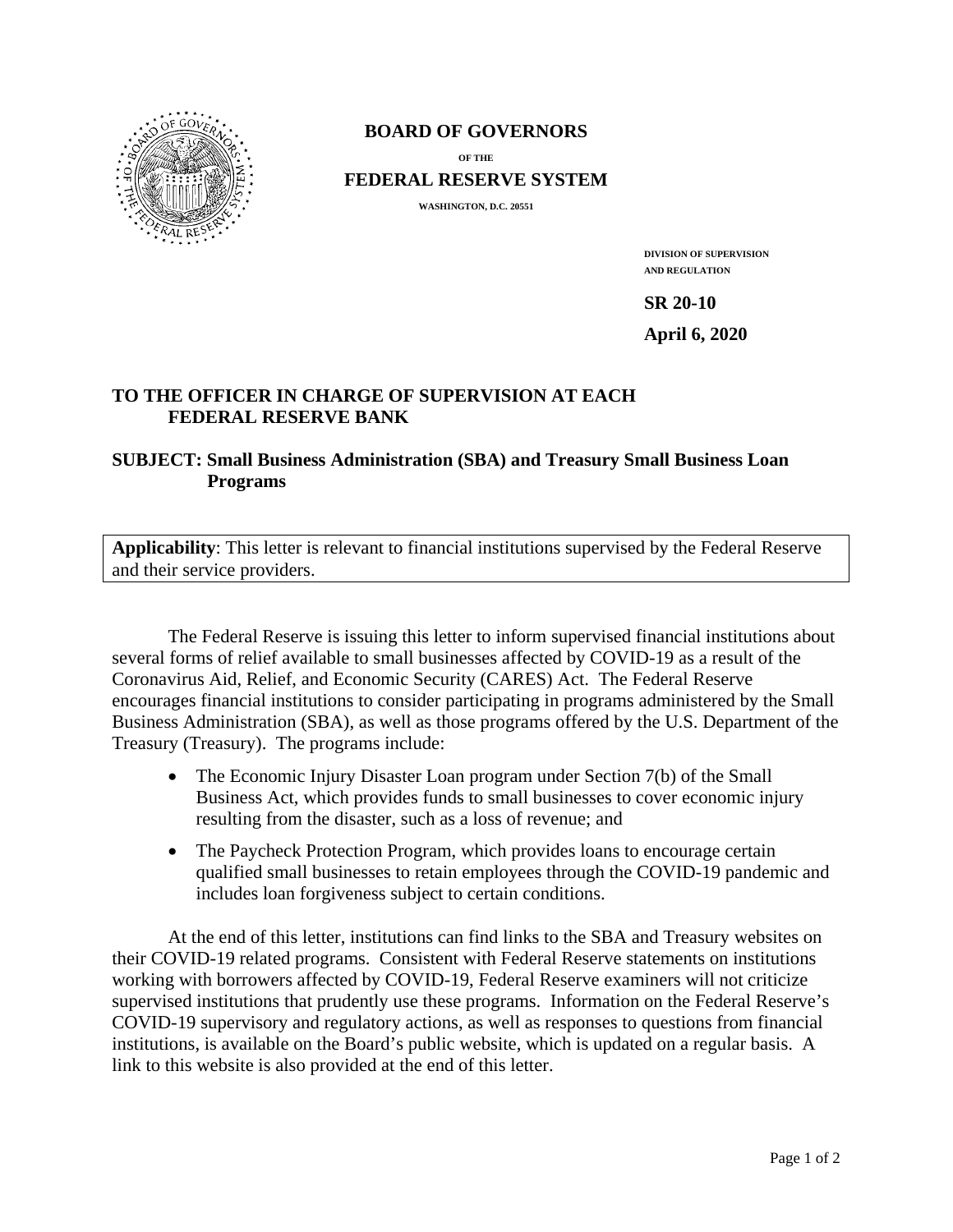

#### **BOARD OF GOVERNORS**

**OF THE**

**FEDERAL RESERVE SYSTEM**

**WASHINGTON, D.C. 20551** 

**DIVISION OF SUPERVISION AND REGULATION**

**SR 20-10** 

**April 6, 2020** 

# **TO THE OFFICER IN CHARGE OF SUPERVISION AT EACH FEDERAL RESERVE BANK**

### **SUBJECT: Small Business Administration (SBA) and Treasury Small Business Loan Programs**

**Applicability**: This letter is relevant to financial institutions supervised by the Federal Reserve and their service providers.

The Federal Reserve is issuing this letter to inform supervised financial institutions about several forms of relief available to small businesses affected by COVID-19 as a result of the Coronavirus Aid, Relief, and Economic Security (CARES) Act. The Federal Reserve encourages financial institutions to consider participating in programs administered by the Small Business Administration (SBA), as well as those programs offered by the U.S. Department of the Treasury (Treasury). The programs include:

- The Economic Injury Disaster Loan program under Section 7(b) of the Small Business Act, which provides funds to small businesses to cover economic injury resulting from the disaster, such as a loss of revenue; and
- The Paycheck Protection Program, which provides loans to encourage certain qualified small businesses to retain employees through the COVID-19 pandemic and includes loan forgiveness subject to certain conditions.

At the end of this letter, institutions can find links to the SBA and Treasury websites on their COVID-19 related programs. Consistent with Federal Reserve statements on institutions working with borrowers affected by COVID-19, Federal Reserve examiners will not criticize supervised institutions that prudently use these programs. Information on the Federal Reserve's COVID-19 supervisory and regulatory actions, as well as responses to questions from financial institutions, is available on the Board's public website, which is updated on a regular basis. A link to this website is also provided at the end of this letter.